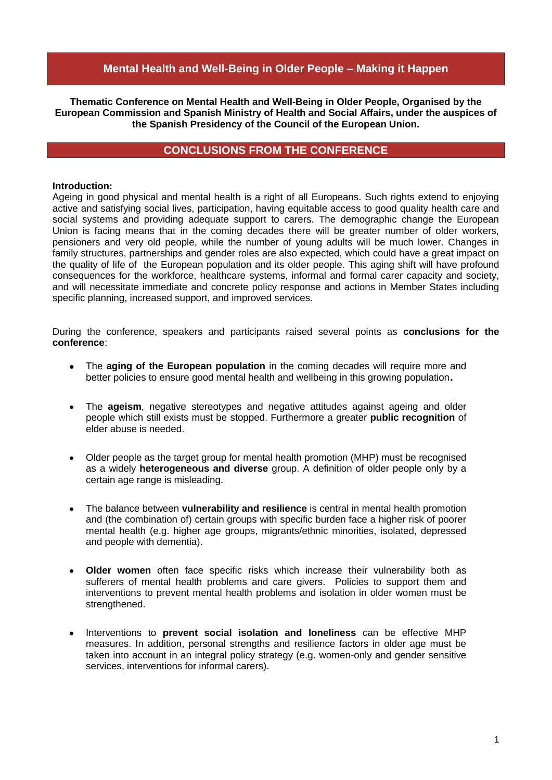# **Mental Health and Well-Being in Older People – Making it Happen**

**Thematic Conference on Mental Health and Well-Being in Older People, Organised by the European Commission and Spanish Ministry of Health and Social Affairs, under the auspices of the Spanish Presidency of the Council of the European Union.**

## **CONCLUSIONS FROM THE CONFERENCE**

#### **Introduction:**

Ageing in good physical and mental health is a right of all Europeans. Such rights extend to enjoying active and satisfying social lives, participation, having equitable access to good quality health care and social systems and providing adequate support to carers. The demographic change the European Union is facing means that in the coming decades there will be greater number of older workers, pensioners and very old people, while the number of young adults will be much lower. Changes in family structures, partnerships and gender roles are also expected, which could have a great impact on the quality of life of the European population and its older people. This aging shift will have profound consequences for the workforce, healthcare systems, informal and formal carer capacity and society, and will necessitate immediate and concrete policy response and actions in Member States including specific planning, increased support, and improved services.

During the conference, speakers and participants raised several points as **conclusions for the conference**:

- The **aging of the European population** in the coming decades will require more and  $\bullet$ better policies to ensure good mental health and wellbeing in this growing population**.**
- The **ageism**, negative stereotypes and negative attitudes against ageing and older  $\bullet$ people which still exists must be stopped. Furthermore a greater **public recognition** of elder abuse is needed.
- Older people as the target group for mental health promotion (MHP) must be recognised as a widely **heterogeneous and diverse** group. A definition of older people only by a certain age range is misleading.
- The balance between **vulnerability and resilience** is central in mental health promotion  $\bullet$ and (the combination of) certain groups with specific burden face a higher risk of poorer mental health (e.g. higher age groups, migrants/ethnic minorities, isolated, depressed and people with dementia).
- **Older women** often face specific risks which increase their vulnerability both as  $\bullet$ sufferers of mental health problems and care givers. Policies to support them and interventions to prevent mental health problems and isolation in older women must be strengthened.
- Interventions to **prevent social isolation and loneliness** can be effective MHP  $\bullet$ measures. In addition, personal strengths and resilience factors in older age must be taken into account in an integral policy strategy (e.g. women-only and gender sensitive services, interventions for informal carers).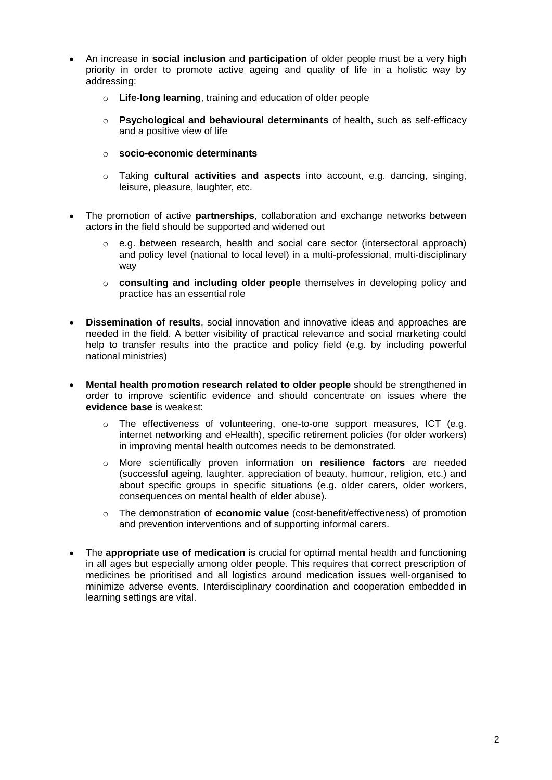- An increase in **social inclusion** and **participation** of older people must be a very high priority in order to promote active ageing and quality of life in a holistic way by addressing:
	- o **Life-long learning**, training and education of older people
	- o **Psychological and behavioural determinants** of health, such as self-efficacy and a positive view of life
	- o **socio-economic determinants**
	- o Taking **cultural activities and aspects** into account, e.g. dancing, singing, leisure, pleasure, laughter, etc.
- The promotion of active **partnerships**, collaboration and exchange networks between actors in the field should be supported and widened out
	- $\circ$  e.g. between research, health and social care sector (intersectoral approach) and policy level (national to local level) in a multi-professional, multi-disciplinary way
	- o **consulting and including older people** themselves in developing policy and practice has an essential role
- **Dissemination of results**, social innovation and innovative ideas and approaches are needed in the field. A better visibility of practical relevance and social marketing could help to transfer results into the practice and policy field (e.g. by including powerful national ministries)
- **Mental health promotion research related to older people** should be strengthened in order to improve scientific evidence and should concentrate on issues where the **evidence base** is weakest:
	- $\circ$  The effectiveness of volunteering, one-to-one support measures, ICT (e.g. internet networking and eHealth), specific retirement policies (for older workers) in improving mental health outcomes needs to be demonstrated.
	- o More scientifically proven information on **resilience factors** are needed (successful ageing, laughter, appreciation of beauty, humour, religion, etc.) and about specific groups in specific situations (e.g. older carers, older workers, consequences on mental health of elder abuse).
	- o The demonstration of **economic value** (cost-benefit/effectiveness) of promotion and prevention interventions and of supporting informal carers.
- The **appropriate use of medication** is crucial for optimal mental health and functioning  $\bullet$ in all ages but especially among older people. This requires that correct prescription of medicines be prioritised and all logistics around medication issues well-organised to minimize adverse events. Interdisciplinary coordination and cooperation embedded in learning settings are vital.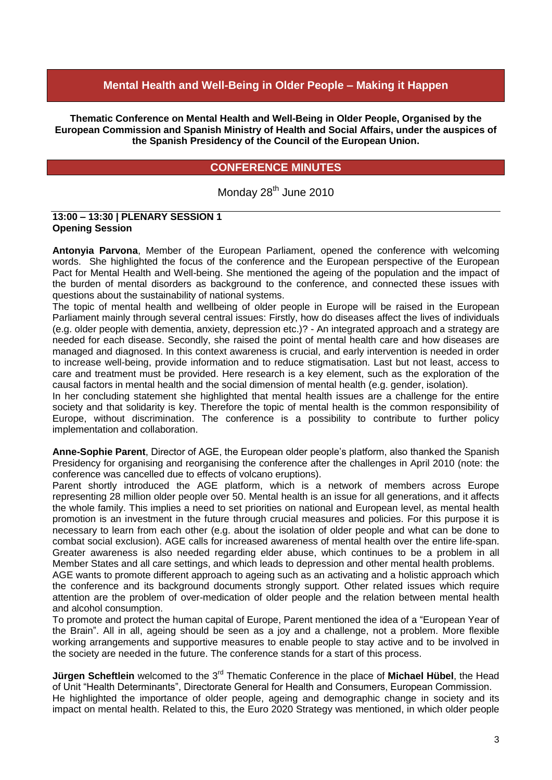# **Mental Health and Well-Being in Older People – Making it Happen**

**Thematic Conference on Mental Health and Well-Being in Older People, Organised by the European Commission and Spanish Ministry of Health and Social Affairs, under the auspices of the Spanish Presidency of the Council of the European Union.**

# **CONFERENCE MINUTES**

Monday 28<sup>th</sup> June 2010

#### **13:00 – 13:30 | PLENARY SESSION 1 Opening Session**

**Antonyia Parvona**, Member of the European Parliament, opened the conference with welcoming words. She highlighted the focus of the conference and the European perspective of the European Pact for Mental Health and Well-being. She mentioned the ageing of the population and the impact of the burden of mental disorders as background to the conference, and connected these issues with questions about the sustainability of national systems.

The topic of mental health and wellbeing of older people in Europe will be raised in the European Parliament mainly through several central issues: Firstly, how do diseases affect the lives of individuals (e.g. older people with dementia, anxiety, depression etc.)? - An integrated approach and a strategy are needed for each disease. Secondly, she raised the point of mental health care and how diseases are managed and diagnosed. In this context awareness is crucial, and early intervention is needed in order to increase well-being, provide information and to reduce stigmatisation. Last but not least, access to care and treatment must be provided. Here research is a key element, such as the exploration of the causal factors in mental health and the social dimension of mental health (e.g. gender, isolation).

In her concluding statement she highlighted that mental health issues are a challenge for the entire society and that solidarity is key. Therefore the topic of mental health is the common responsibility of Europe, without discrimination. The conference is a possibility to contribute to further policy implementation and collaboration.

**Anne-Sophie Parent**, Director of AGE, the European older people"s platform, also thanked the Spanish Presidency for organising and reorganising the conference after the challenges in April 2010 (note: the conference was cancelled due to effects of volcano eruptions).

Parent shortly introduced the AGE platform, which is a network of members across Europe representing 28 million older people over 50. Mental health is an issue for all generations, and it affects the whole family. This implies a need to set priorities on national and European level, as mental health promotion is an investment in the future through crucial measures and policies. For this purpose it is necessary to learn from each other (e.g. about the isolation of older people and what can be done to combat social exclusion). AGE calls for increased awareness of mental health over the entire life-span. Greater awareness is also needed regarding elder abuse, which continues to be a problem in all Member States and all care settings, and which leads to depression and other mental health problems.

AGE wants to promote different approach to ageing such as an activating and a holistic approach which the conference and its background documents strongly support. Other related issues which require attention are the problem of over-medication of older people and the relation between mental health and alcohol consumption.

To promote and protect the human capital of Europe, Parent mentioned the idea of a "European Year of the Brain". All in all, ageing should be seen as a joy and a challenge, not a problem. More flexible working arrangements and supportive measures to enable people to stay active and to be involved in the society are needed in the future. The conference stands for a start of this process.

**Jürgen Scheftlein** welcomed to the 3<sup>rd</sup> Thematic Conference in the place of Michael Hübel, the Head of Unit "Health Determinants", Directorate General for Health and Consumers, European Commission. He highlighted the importance of older people, ageing and demographic change in society and its impact on mental health. Related to this, the Euro 2020 Strategy was mentioned, in which older people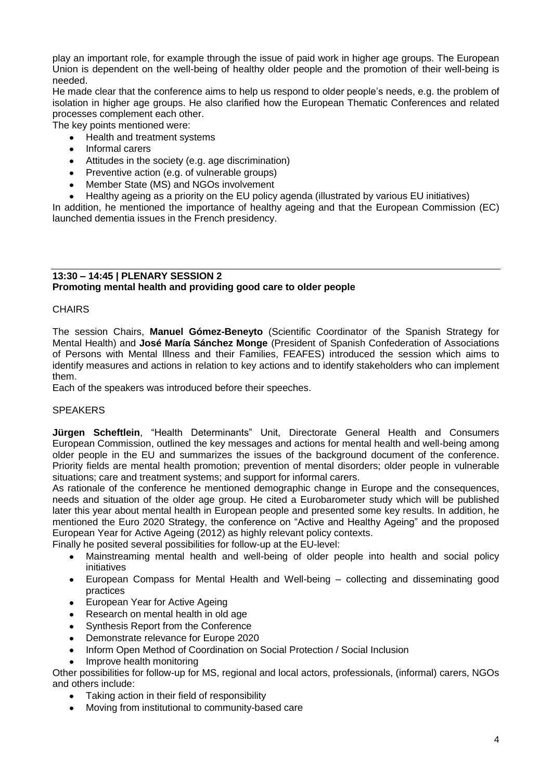play an important role, for example through the issue of paid work in higher age groups. The European Union is dependent on the well-being of healthy older people and the promotion of their well-being is needed.

He made clear that the conference aims to help us respond to older people"s needs, e.g. the problem of isolation in higher age groups. He also clarified how the European Thematic Conferences and related processes complement each other.

The key points mentioned were:

- Health and treatment systems  $\bullet$
- $\bullet$ Informal carers
- Attitudes in the society (e.g. age discrimination)  $\bullet$
- Preventive action (e.g. of vulnerable groups)
- Member State (MS) and NGOs involvement
- Healthy ageing as a priority on the EU policy agenda (illustrated by various EU initiatives)

In addition, he mentioned the importance of healthy ageing and that the European Commission (EC) launched dementia issues in the French presidency.

#### **13:30 – 14:45 | PLENARY SESSION 2 Promoting mental health and providing good care to older people**

#### **CHAIRS**

The session Chairs, **Manuel Gómez-Beneyto** (Scientific Coordinator of the Spanish Strategy for Mental Health) and **José María Sánchez Monge** (President of Spanish Confederation of Associations of Persons with Mental Illness and their Families, FEAFES) introduced the session which aims to identify measures and actions in relation to key actions and to identify stakeholders who can implement them.

Each of the speakers was introduced before their speeches.

#### **SPEAKERS**

**Jürgen Scheftlein**, "Health Determinants" Unit, Directorate General Health and Consumers European Commission, outlined the key messages and actions for mental health and well-being among older people in the EU and summarizes the issues of the background document of the conference. Priority fields are mental health promotion; prevention of mental disorders; older people in vulnerable situations; care and treatment systems; and support for informal carers.

As rationale of the conference he mentioned demographic change in Europe and the consequences, needs and situation of the older age group. He cited a Eurobarometer study which will be published later this year about mental health in European people and presented some key results. In addition, he mentioned the Euro 2020 Strategy, the conference on "Active and Healthy Ageing" and the proposed European Year for Active Ageing (2012) as highly relevant policy contexts.

Finally he posited several possibilities for follow-up at the EU-level:

- Mainstreaming mental health and well-being of older people into health and social policy initiatives
- European Compass for Mental Health and Well-being collecting and disseminating good  $\bullet$ practices
- $\bullet$ European Year for Active Ageing
- Research on mental health in old age  $\bullet$
- Synthesis Report from the Conference
- Demonstrate relevance for Europe 2020  $\bullet$
- Inform Open Method of Coordination on Social Protection / Social Inclusion  $\bullet$
- Improve health monitoring

Other possibilities for follow-up for MS, regional and local actors, professionals, (informal) carers, NGOs and others include:

- Taking action in their field of responsibility
- Moving from institutional to community-based care $\bullet$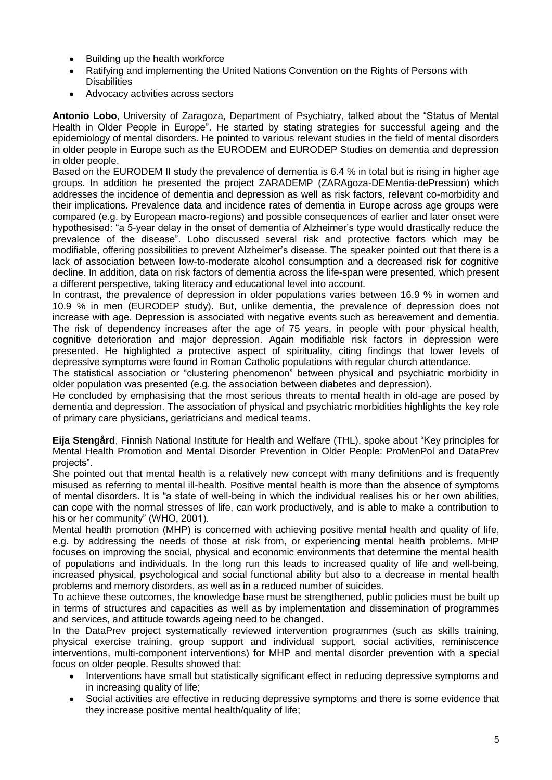- Building up the health workforce  $\bullet$
- Ratifying and implementing the United Nations Convention on the Rights of Persons with **Disabilities**
- Advocacy activities across sectors

**Antonio Lobo**, University of Zaragoza, Department of Psychiatry, talked about the "Status of Mental Health in Older People in Europe". He started by stating strategies for successful ageing and the epidemiology of mental disorders. He pointed to various relevant studies in the field of mental disorders in older people in Europe such as the EURODEM and EURODEP Studies on dementia and depression in older people.

Based on the EURODEM II study the prevalence of dementia is 6.4 % in total but is rising in higher age groups. In addition he presented the project ZARADEMP (ZARAgoza-DEMentia-dePression) which addresses the incidence of dementia and depression as well as risk factors, relevant co-morbidity and their implications. Prevalence data and incidence rates of dementia in Europe across age groups were compared (e.g. by European macro-regions) and possible consequences of earlier and later onset were hypothesised: "a 5-year delay in the onset of dementia of Alzheimer's type would drastically reduce the prevalence of the disease". Lobo discussed several risk and protective factors which may be modifiable, offering possibilities to prevent Alzheimer"s disease. The speaker pointed out that there is a lack of association between low-to-moderate alcohol consumption and a decreased risk for cognitive decline. In addition, data on risk factors of dementia across the life-span were presented, which present a different perspective, taking literacy and educational level into account.

In contrast, the prevalence of depression in older populations varies between 16.9 % in women and 10.9 % in men (EURODEP study). But, unlike dementia, the prevalence of depression does not increase with age. Depression is associated with negative events such as bereavement and dementia. The risk of dependency increases after the age of 75 years, in people with poor physical health, cognitive deterioration and major depression. Again modifiable risk factors in depression were presented. He highlighted a protective aspect of spirituality, citing findings that lower levels of depressive symptoms were found in Roman Catholic populations with regular church attendance.

The statistical association or "clustering phenomenon" between physical and psychiatric morbidity in older population was presented (e.g. the association between diabetes and depression).

He concluded by emphasising that the most serious threats to mental health in old-age are posed by dementia and depression. The association of physical and psychiatric morbidities highlights the key role of primary care physicians, geriatricians and medical teams.

**Eija Stengård**, Finnish National Institute for Health and Welfare (THL), spoke about "Key principles for Mental Health Promotion and Mental Disorder Prevention in Older People: ProMenPol and DataPrev projects".

She pointed out that mental health is a relatively new concept with many definitions and is frequently misused as referring to mental ill-health. Positive mental health is more than the absence of symptoms of mental disorders. It is "a state of well-being in which the individual realises his or her own abilities, can cope with the normal stresses of life, can work productively, and is able to make a contribution to his or her community" (WHO, 2001).

Mental health promotion (MHP) is concerned with achieving positive mental health and quality of life, e.g. by addressing the needs of those at risk from, or experiencing mental health problems. MHP focuses on improving the social, physical and economic environments that determine the mental health of populations and individuals. In the long run this leads to increased quality of life and well-being, increased physical, psychological and social functional ability but also to a decrease in mental health problems and memory disorders, as well as in a reduced number of suicides.

To achieve these outcomes, the knowledge base must be strengthened, public policies must be built up in terms of structures and capacities as well as by implementation and dissemination of programmes and services, and attitude towards ageing need to be changed.

In the DataPrev project systematically reviewed intervention programmes (such as skills training, physical exercise training, group support and individual support, social activities, reminiscence interventions, multi-component interventions) for MHP and mental disorder prevention with a special focus on older people. Results showed that:

- Interventions have small but statistically significant effect in reducing depressive symptoms and in increasing quality of life;
- Social activities are effective in reducing depressive symptoms and there is some evidence that  $\bullet$ they increase positive mental health/quality of life;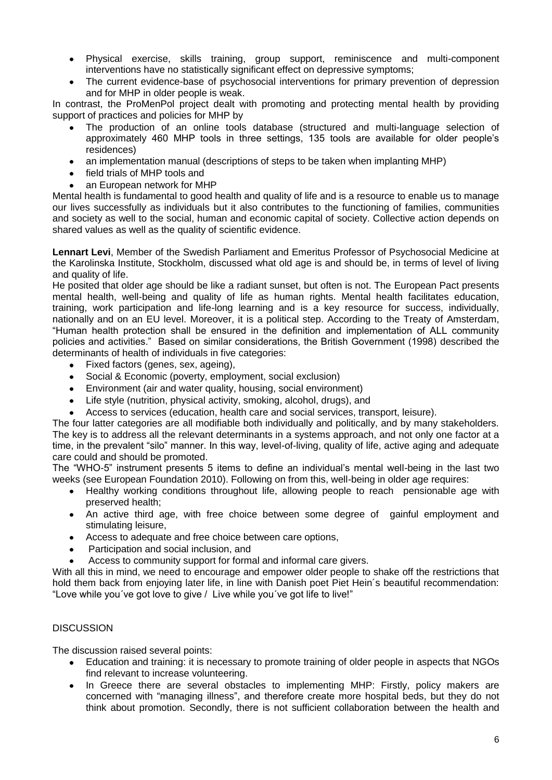- Physical exercise, skills training, group support, reminiscence and multi-component  $\bullet$ interventions have no statistically significant effect on depressive symptoms;
- The current evidence-base of psychosocial interventions for primary prevention of depression  $\bullet$ and for MHP in older people is weak.

In contrast, the ProMenPol project dealt with promoting and protecting mental health by providing support of practices and policies for MHP by

- The production of an online tools database (structured and multi-language selection of approximately 460 MHP tools in three settings, 135 tools are available for older people"s residences)
- an implementation manual (descriptions of steps to be taken when implanting MHP)  $\bullet$
- field trials of MHP tools and  $\bullet$
- an European network for MHP

Mental health is fundamental to good health and quality of life and is a resource to enable us to manage our lives successfully as individuals but it also contributes to the functioning of families, communities and society as well to the social, human and economic capital of society. Collective action depends on shared values as well as the quality of scientific evidence.

**Lennart Levi**, Member of the Swedish Parliament and Emeritus Professor of Psychosocial Medicine at the Karolinska Institute, Stockholm, discussed what old age is and should be, in terms of level of living and quality of life.

He posited that older age should be like a radiant sunset, but often is not. The European Pact presents mental health, well-being and quality of life as human rights. Mental health facilitates education, training, work participation and life-long learning and is a key resource for success, individually, nationally and on an EU level. Moreover, it is a political step. According to the Treaty of Amsterdam, "Human health protection shall be ensured in the definition and implementation of ALL community policies and activities." Based on similar considerations, the British Government (1998) described the determinants of health of individuals in five categories:

- $\bullet$ Fixed factors (genes, sex, ageing),
- Social & Economic (poverty, employment, social exclusion)
- Environment (air and water quality, housing, social environment)  $\bullet$
- Life style (nutrition, physical activity, smoking, alcohol, drugs), and  $\bullet$
- Access to services (education, health care and social services, transport, leisure).

The four latter categories are all modifiable both individually and politically, and by many stakeholders. The key is to address all the relevant determinants in a systems approach, and not only one factor at a time, in the prevalent "silo" manner. In this way, level-of-living, quality of life, active aging and adequate care could and should be promoted.

The "WHO-5" instrument presents 5 items to define an individual"s mental well-being in the last two weeks (see European Foundation 2010). Following on from this, well-being in older age requires:

- Healthy working conditions throughout life, allowing people to reach pensionable age with preserved health;
- An active third age, with free choice between some degree of gainful employment and stimulating leisure,
- Access to adequate and free choice between care options,  $\bullet$
- Participation and social inclusion, and
- Access to community support for formal and informal care givers.

With all this in mind, we need to encourage and empower older people to shake off the restrictions that hold them back from enjoying later life, in line with Danish poet Piet Hein´s beautiful recommendation: "Love while you´ve got love to give / Live while you´ve got life to live!"

### **DISCUSSION**

The discussion raised several points:

- Education and training: it is necessary to promote training of older people in aspects that NGOs  $\bullet$ find relevant to increase volunteering.
- In Greece there are several obstacles to implementing MHP: Firstly, policy makers are  $\bullet$ concerned with "managing illness", and therefore create more hospital beds, but they do not think about promotion. Secondly, there is not sufficient collaboration between the health and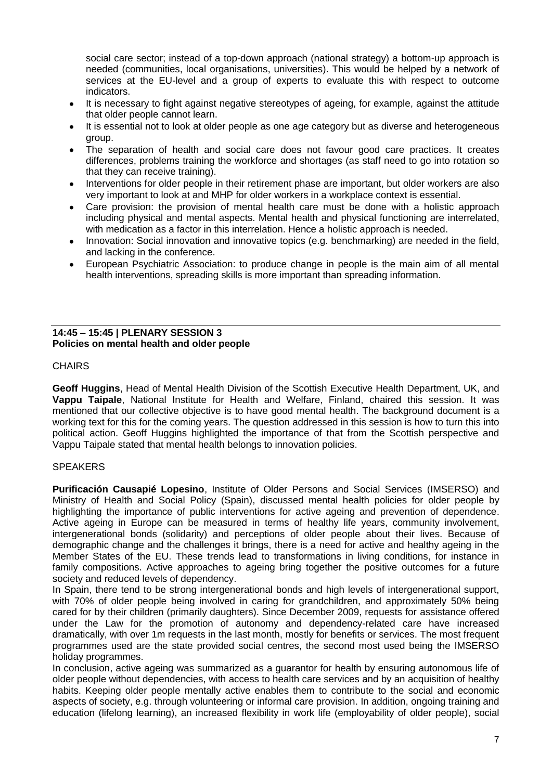social care sector; instead of a top-down approach (national strategy) a bottom-up approach is needed (communities, local organisations, universities). This would be helped by a network of services at the EU-level and a group of experts to evaluate this with respect to outcome indicators.

- It is necessary to fight against negative stereotypes of ageing, for example, against the attitude that older people cannot learn.
- It is essential not to look at older people as one age category but as diverse and heterogeneous  $\bullet$ group.
- The separation of health and social care does not favour good care practices. It creates  $\bullet$ differences, problems training the workforce and shortages (as staff need to go into rotation so that they can receive training).
- Interventions for older people in their retirement phase are important, but older workers are also very important to look at and MHP for older workers in a workplace context is essential.
- Care provision: the provision of mental health care must be done with a holistic approach  $\bullet$ including physical and mental aspects. Mental health and physical functioning are interrelated, with medication as a factor in this interrelation. Hence a holistic approach is needed.
- Innovation: Social innovation and innovative topics (e.g. benchmarking) are needed in the field,  $\bullet$ and lacking in the conference.
- European Psychiatric Association: to produce change in people is the main aim of all mental  $\bullet$ health interventions, spreading skills is more important than spreading information.

### **14:45 – 15:45 | PLENARY SESSION 3 Policies on mental health and older people**

### **CHAIRS**

**Geoff Huggins**, Head of Mental Health Division of the Scottish Executive Health Department, UK, and **Vappu Taipale**, National Institute for Health and Welfare, Finland, chaired this session. It was mentioned that our collective objective is to have good mental health. The background document is a working text for this for the coming years. The question addressed in this session is how to turn this into political action. Geoff Huggins highlighted the importance of that from the Scottish perspective and Vappu Taipale stated that mental health belongs to innovation policies.

## **SPEAKERS**

**Purificación Causapié Lopesino**, Institute of Older Persons and Social Services (IMSERSO) and Ministry of Health and Social Policy (Spain), discussed mental health policies for older people by highlighting the importance of public interventions for active ageing and prevention of dependence. Active ageing in Europe can be measured in terms of healthy life years, community involvement, intergenerational bonds (solidarity) and perceptions of older people about their lives. Because of demographic change and the challenges it brings, there is a need for active and healthy ageing in the Member States of the EU. These trends lead to transformations in living conditions, for instance in family compositions. Active approaches to ageing bring together the positive outcomes for a future society and reduced levels of dependency.

In Spain, there tend to be strong intergenerational bonds and high levels of intergenerational support, with 70% of older people being involved in caring for grandchildren, and approximately 50% being cared for by their children (primarily daughters). Since December 2009, requests for assistance offered under the Law for the promotion of autonomy and dependency-related care have increased dramatically, with over 1m requests in the last month, mostly for benefits or services. The most frequent programmes used are the state provided social centres, the second most used being the IMSERSO holiday programmes.

In conclusion, active ageing was summarized as a guarantor for health by ensuring autonomous life of older people without dependencies, with access to health care services and by an acquisition of healthy habits. Keeping older people mentally active enables them to contribute to the social and economic aspects of society, e.g. through volunteering or informal care provision. In addition, ongoing training and education (lifelong learning), an increased flexibility in work life (employability of older people), social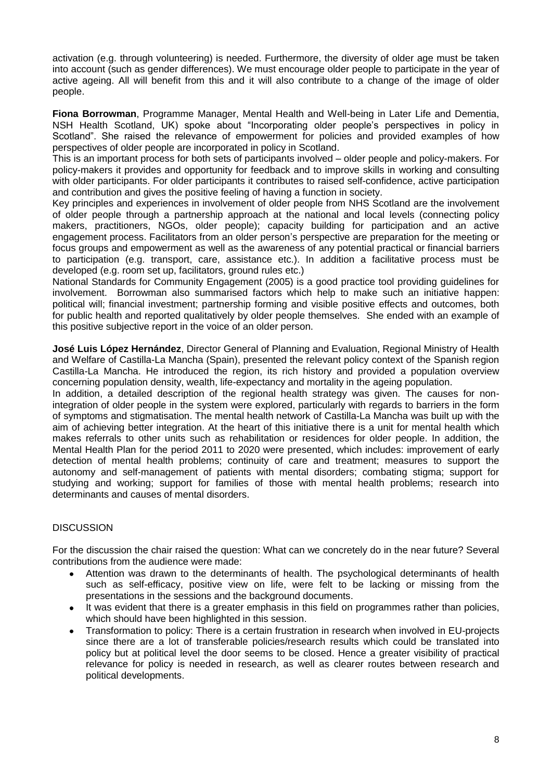activation (e.g. through volunteering) is needed. Furthermore, the diversity of older age must be taken into account (such as gender differences). We must encourage older people to participate in the year of active ageing. All will benefit from this and it will also contribute to a change of the image of older people.

**Fiona Borrowman**, Programme Manager, Mental Health and Well-being in Later Life and Dementia, NSH Health Scotland, UK) spoke about "Incorporating older people"s perspectives in policy in Scotland". She raised the relevance of empowerment for policies and provided examples of how perspectives of older people are incorporated in policy in Scotland.

This is an important process for both sets of participants involved – older people and policy-makers. For policy-makers it provides and opportunity for feedback and to improve skills in working and consulting with older participants. For older participants it contributes to raised self-confidence, active participation and contribution and gives the positive feeling of having a function in society.

Key principles and experiences in involvement of older people from NHS Scotland are the involvement of older people through a partnership approach at the national and local levels (connecting policy makers, practitioners, NGOs, older people); capacity building for participation and an active engagement process. Facilitators from an older person"s perspective are preparation for the meeting or focus groups and empowerment as well as the awareness of any potential practical or financial barriers to participation (e.g. transport, care, assistance etc.). In addition a facilitative process must be developed (e.g. room set up, facilitators, ground rules etc.)

National Standards for Community Engagement (2005) is a good practice tool providing guidelines for involvement. Borrowman also summarised factors which help to make such an initiative happen: political will; financial investment; partnership forming and visible positive effects and outcomes, both for public health and reported qualitatively by older people themselves. She ended with an example of this positive subjective report in the voice of an older person.

**José Luis López Hernández**, Director General of Planning and Evaluation, Regional Ministry of Health and Welfare of Castilla-La Mancha (Spain), presented the relevant policy context of the Spanish region Castilla-La Mancha. He introduced the region, its rich history and provided a population overview concerning population density, wealth, life-expectancy and mortality in the ageing population.

In addition, a detailed description of the regional health strategy was given. The causes for nonintegration of older people in the system were explored, particularly with regards to barriers in the form of symptoms and stigmatisation. The mental health network of Castilla-La Mancha was built up with the aim of achieving better integration. At the heart of this initiative there is a unit for mental health which makes referrals to other units such as rehabilitation or residences for older people. In addition, the Mental Health Plan for the period 2011 to 2020 were presented, which includes: improvement of early detection of mental health problems; continuity of care and treatment; measures to support the autonomy and self-management of patients with mental disorders; combating stigma; support for studying and working; support for families of those with mental health problems; research into determinants and causes of mental disorders.

## **DISCUSSION**

For the discussion the chair raised the question: What can we concretely do in the near future? Several contributions from the audience were made:

- Attention was drawn to the determinants of health. The psychological determinants of health such as self-efficacy, positive view on life, were felt to be lacking or missing from the presentations in the sessions and the background documents.
- It was evident that there is a greater emphasis in this field on programmes rather than policies,  $\bullet$ which should have been highlighted in this session.
- Transformation to policy: There is a certain frustration in research when involved in EU-projects  $\bullet$ since there are a lot of transferable policies/research results which could be translated into policy but at political level the door seems to be closed. Hence a greater visibility of practical relevance for policy is needed in research, as well as clearer routes between research and political developments.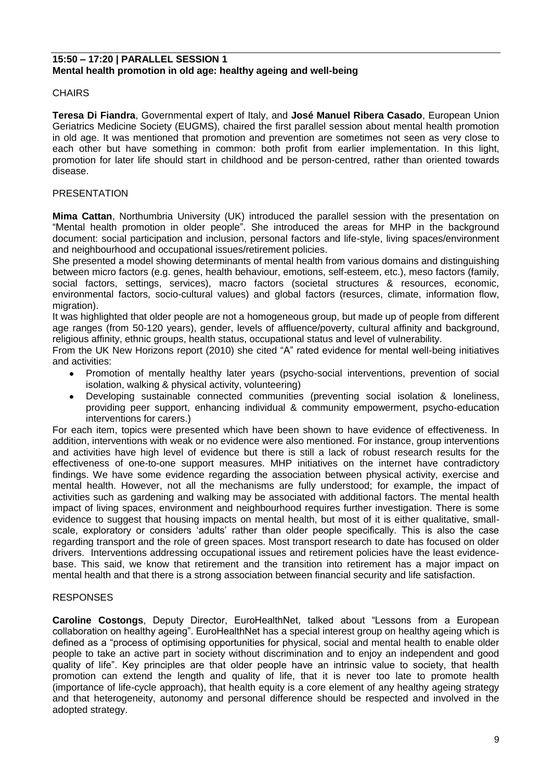#### **15:50 – 17:20 | PARALLEL SESSION 1 Mental health promotion in old age: healthy ageing and well-being**

#### **CHAIRS**

**Teresa Di Fiandra**, Governmental expert of Italy, and **José Manuel Ribera Casado**, European Union Geriatrics Medicine Society (EUGMS), chaired the first parallel session about mental health promotion in old age. It was mentioned that promotion and prevention are sometimes not seen as very close to each other but have something in common: both profit from earlier implementation. In this light, promotion for later life should start in childhood and be person-centred, rather than oriented towards disease.

#### PRESENTATION

**Mima Cattan**, Northumbria University (UK) introduced the parallel session with the presentation on "Mental health promotion in older people". She introduced the areas for MHP in the background document: social participation and inclusion, personal factors and life-style, living spaces/environment and neighbourhood and occupational issues/retirement policies.

She presented a model showing determinants of mental health from various domains and distinguishing between micro factors (e.g. genes, health behaviour, emotions, self-esteem, etc.), meso factors (family, social factors, settings, services), macro factors (societal structures & resources, economic, environmental factors, socio-cultural values) and global factors (resurces, climate, information flow, migration).

It was highlighted that older people are not a homogeneous group, but made up of people from different age ranges (from 50-120 years), gender, levels of affluence/poverty, cultural affinity and background, religious affinity, ethnic groups, health status, occupational status and level of vulnerability.

From the UK New Horizons report (2010) she cited "A" rated evidence for mental well-being initiatives and activities:

- Promotion of mentally healthy later years (psycho-social interventions, prevention of social isolation, walking & physical activity, volunteering)
- Developing sustainable connected communities (preventing social isolation & loneliness, providing peer support, enhancing individual & community empowerment, psycho-education interventions for carers.)

For each item, topics were presented which have been shown to have evidence of effectiveness. In addition, interventions with weak or no evidence were also mentioned. For instance, group interventions and activities have high level of evidence but there is still a lack of robust research results for the effectiveness of one-to-one support measures. MHP initiatives on the internet have contradictory findings. We have some evidence regarding the association between physical activity, exercise and mental health. However, not all the mechanisms are fully understood; for example, the impact of activities such as gardening and walking may be associated with additional factors. The mental health impact of living spaces, environment and neighbourhood requires further investigation. There is some evidence to suggest that housing impacts on mental health, but most of it is either qualitative, smallscale, exploratory or considers "adults" rather than older people specifically. This is also the case regarding transport and the role of green spaces. Most transport research to date has focused on older drivers. Interventions addressing occupational issues and retirement policies have the least evidencebase. This said, we know that retirement and the transition into retirement has a major impact on mental health and that there is a strong association between financial security and life satisfaction.

#### **RESPONSES**

**Caroline Costongs**, Deputy Director, EuroHealthNet, talked about "Lessons from a European collaboration on healthy ageing". EuroHealthNet has a special interest group on healthy ageing which is defined as a "process of optimising opportunities for physical, social and mental health to enable older people to take an active part in society without discrimination and to enjoy an independent and good quality of life". Key principles are that older people have an intrinsic value to society, that health promotion can extend the length and quality of life, that it is never too late to promote health (importance of life-cycle approach), that health equity is a core element of any healthy ageing strategy and that heterogeneity, autonomy and personal difference should be respected and involved in the adopted strategy.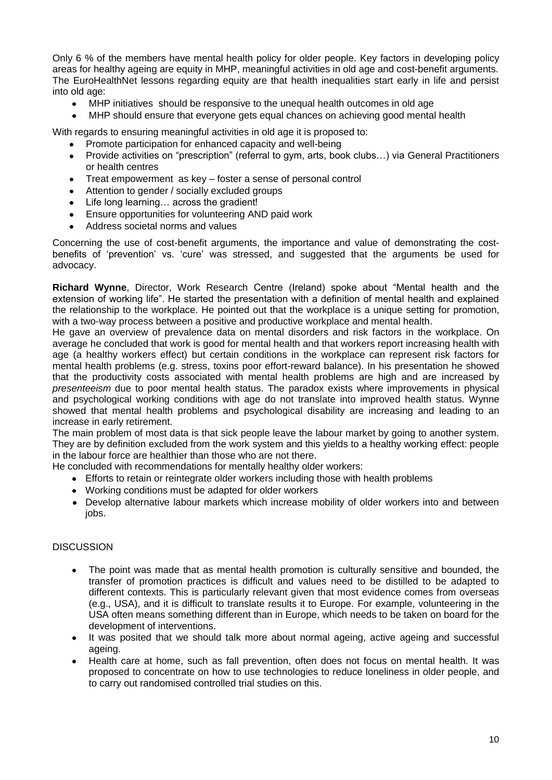Only 6 % of the members have mental health policy for older people. Key factors in developing policy areas for healthy ageing are equity in MHP, meaningful activities in old age and cost-benefit arguments. The EuroHealthNet lessons regarding equity are that health inequalities start early in life and persist into old age:

- MHP initiatives should be responsive to the unequal health outcomes in old age
- MHP should ensure that everyone gets equal chances on achieving good mental health

With regards to ensuring meaningful activities in old age it is proposed to:

- Promote participation for enhanced capacity and well-being
- Provide activities on "prescription" (referral to gym, arts, book clubs…) via General Practitioners  $\bullet$ or health centres
- Treat empowerment as key foster a sense of personal control  $\bullet$
- Attention to gender / socially excluded groups  $\bullet$
- Life long learning… across the gradient!  $\bullet$
- Ensure opportunities for volunteering AND paid work  $\bullet$
- Address societal norms and values

Concerning the use of cost-benefit arguments, the importance and value of demonstrating the costbenefits of "prevention" vs. "cure" was stressed, and suggested that the arguments be used for advocacy.

**Richard Wynne**, Director, Work Research Centre (Ireland) spoke about "Mental health and the extension of working life". He started the presentation with a definition of mental health and explained the relationship to the workplace. He pointed out that the workplace is a unique setting for promotion, with a two-way process between a positive and productive workplace and mental health.

He gave an overview of prevalence data on mental disorders and risk factors in the workplace. On average he concluded that work is good for mental health and that workers report increasing health with age (a healthy workers effect) but certain conditions in the workplace can represent risk factors for mental health problems (e.g. stress, toxins poor effort-reward balance). In his presentation he showed that the productivity costs associated with mental health problems are high and are increased by *presenteeism* due to poor mental health status. The paradox exists where improvements in physical and psychological working conditions with age do not translate into improved health status. Wynne showed that mental health problems and psychological disability are increasing and leading to an increase in early retirement.

The main problem of most data is that sick people leave the labour market by going to another system. They are by definition excluded from the work system and this yields to a healthy working effect: people in the labour force are healthier than those who are not there.

He concluded with recommendations for mentally healthy older workers:

- Efforts to retain or reintegrate older workers including those with health problems
- Working conditions must be adapted for older workers
- Develop alternative labour markets which increase mobility of older workers into and between jobs.

#### **DISCUSSION**

- The point was made that as mental health promotion is culturally sensitive and bounded, the  $\bullet$ transfer of promotion practices is difficult and values need to be distilled to be adapted to different contexts. This is particularly relevant given that most evidence comes from overseas (e.g., USA), and it is difficult to translate results it to Europe. For example, volunteering in the USA often means something different than in Europe, which needs to be taken on board for the development of interventions.
- It was posited that we should talk more about normal ageing, active ageing and successful ageing.
- Health care at home, such as fall prevention, often does not focus on mental health. It was proposed to concentrate on how to use technologies to reduce loneliness in older people, and to carry out randomised controlled trial studies on this.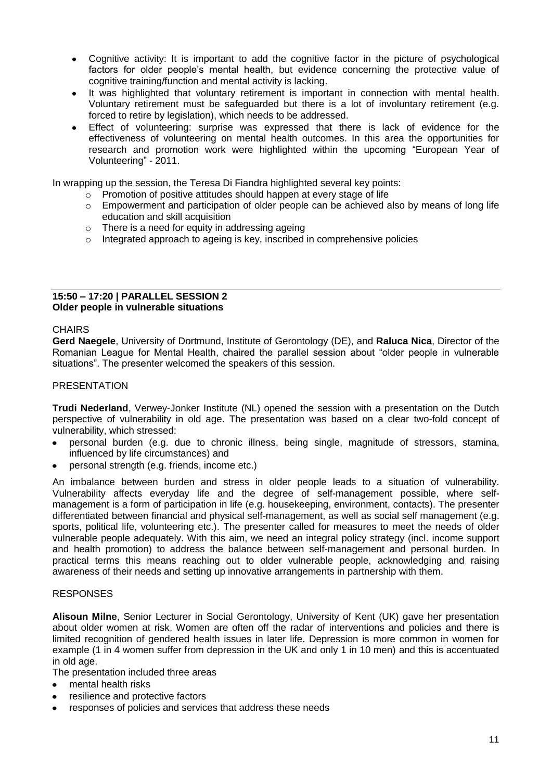- Cognitive activity: It is important to add the cognitive factor in the picture of psychological  $\bullet$ factors for older people"s mental health, but evidence concerning the protective value of cognitive training/function and mental activity is lacking.
- It was highlighted that voluntary retirement is important in connection with mental health. Voluntary retirement must be safeguarded but there is a lot of involuntary retirement (e.g. forced to retire by legislation), which needs to be addressed.
- Effect of volunteering: surprise was expressed that there is lack of evidence for the effectiveness of volunteering on mental health outcomes. In this area the opportunities for research and promotion work were highlighted within the upcoming "European Year of Volunteering" - 2011.

In wrapping up the session, the Teresa Di Fiandra highlighted several key points:

- o Promotion of positive attitudes should happen at every stage of life
- $\circ$  Empowerment and participation of older people can be achieved also by means of long life education and skill acquisition
- o There is a need for equity in addressing ageing
- $\circ$  Integrated approach to ageing is key, inscribed in comprehensive policies

#### **15:50 – 17:20 | PARALLEL SESSION 2 Older people in vulnerable situations**

#### **CHAIRS**

**Gerd Naegele**, University of Dortmund, Institute of Gerontology (DE), and **Raluca Nica**, Director of the Romanian League for Mental Health, chaired the parallel session about "older people in vulnerable situations". The presenter welcomed the speakers of this session.

#### **PRESENTATION**

**Trudi Nederland**, Verwey-Jonker Institute (NL) opened the session with a presentation on the Dutch perspective of vulnerability in old age. The presentation was based on a clear two-fold concept of vulnerability, which stressed:

- personal burden (e.g. due to chronic illness, being single, magnitude of stressors, stamina, influenced by life circumstances) and
- personal strength (e.g. friends, income etc.)

An imbalance between burden and stress in older people leads to a situation of vulnerability. Vulnerability affects everyday life and the degree of self-management possible, where selfmanagement is a form of participation in life (e.g. housekeeping, environment, contacts). The presenter differentiated between financial and physical self-management, as well as social self management (e.g. sports, political life, volunteering etc.). The presenter called for measures to meet the needs of older vulnerable people adequately. With this aim, we need an integral policy strategy (incl. income support and health promotion) to address the balance between self-management and personal burden. In practical terms this means reaching out to older vulnerable people, acknowledging and raising awareness of their needs and setting up innovative arrangements in partnership with them.

#### RESPONSES

**Alisoun Milne**, Senior Lecturer in Social Gerontology, University of Kent (UK) gave her presentation about older women at risk. Women are often off the radar of interventions and policies and there is limited recognition of gendered health issues in later life. Depression is more common in women for example (1 in 4 women suffer from depression in the UK and only 1 in 10 men) and this is accentuated in old age.

The presentation included three areas

- mental health risks  $\bullet$
- resilience and protective factors
- responses of policies and services that address these needs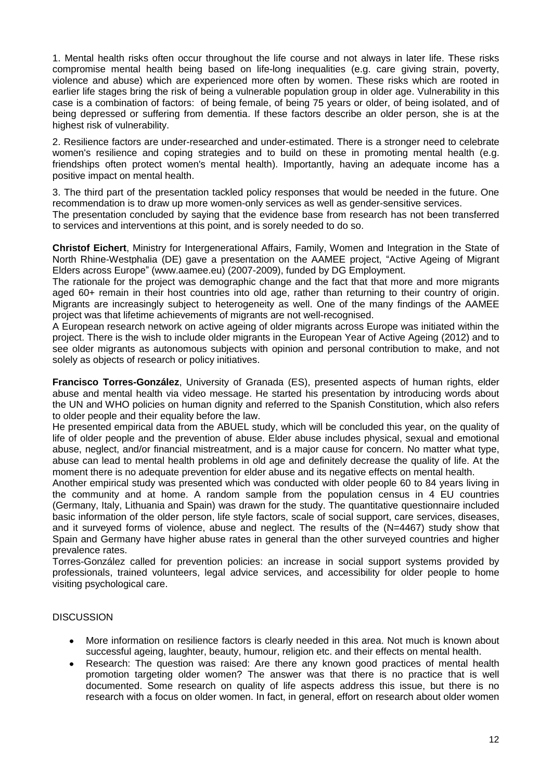1. Mental health risks often occur throughout the life course and not always in later life. These risks compromise mental health being based on life-long inequalities (e.g. care giving strain, poverty, violence and abuse) which are experienced more often by women. These risks which are rooted in earlier life stages bring the risk of being a vulnerable population group in older age. Vulnerability in this case is a combination of factors: of being female, of being 75 years or older, of being isolated, and of being depressed or suffering from dementia. If these factors describe an older person, she is at the highest risk of vulnerability.

2. Resilience factors are under-researched and under-estimated. There is a stronger need to celebrate women's resilience and coping strategies and to build on these in promoting mental health (e.g. friendships often protect women's mental health). Importantly, having an adequate income has a positive impact on mental health.

3. The third part of the presentation tackled policy responses that would be needed in the future. One recommendation is to draw up more women-only services as well as gender-sensitive services.

The presentation concluded by saying that the evidence base from research has not been transferred to services and interventions at this point, and is sorely needed to do so.

**Christof Eichert**, Ministry for Intergenerational Affairs, Family, Women and Integration in the State of North Rhine-Westphalia (DE) gave a presentation on the AAMEE project, "Active Ageing of Migrant Elders across Europe" (www.aamee.eu) (2007-2009), funded by DG Employment.

The rationale for the project was demographic change and the fact that that more and more migrants aged 60+ remain in their host countries into old age, rather than returning to their country of origin. Migrants are increasingly subject to heterogeneity as well. One of the many findings of the AAMEE project was that lifetime achievements of migrants are not well-recognised.

A European research network on active ageing of older migrants across Europe was initiated within the project. There is the wish to include older migrants in the European Year of Active Ageing (2012) and to see older migrants as autonomous subjects with opinion and personal contribution to make, and not solely as objects of research or policy initiatives.

**Francisco Torres-González**, University of Granada (ES), presented aspects of human rights, elder abuse and mental health via video message. He started his presentation by introducing words about the UN and WHO policies on human dignity and referred to the Spanish Constitution, which also refers to older people and their equality before the law.

He presented empirical data from the ABUEL study, which will be concluded this year, on the quality of life of older people and the prevention of abuse. Elder abuse includes physical, sexual and emotional abuse, neglect, and/or financial mistreatment, and is a major cause for concern. No matter what type, abuse can lead to mental health problems in old age and definitely decrease the quality of life. At the moment there is no adequate prevention for elder abuse and its negative effects on mental health.

Another empirical study was presented which was conducted with older people 60 to 84 years living in the community and at home. A random sample from the population census in 4 EU countries (Germany, Italy, Lithuania and Spain) was drawn for the study. The quantitative questionnaire included basic information of the older person, life style factors, scale of social support, care services, diseases, and it surveyed forms of violence, abuse and neglect. The results of the (N=4467) study show that Spain and Germany have higher abuse rates in general than the other surveyed countries and higher prevalence rates.

Torres-González called for prevention policies: an increase in social support systems provided by professionals, trained volunteers, legal advice services, and accessibility for older people to home visiting psychological care.

### **DISCUSSION**

- More information on resilience factors is clearly needed in this area. Not much is known about  $\bullet$ successful ageing, laughter, beauty, humour, religion etc. and their effects on mental health.
- Research: The question was raised: Are there any known good practices of mental health  $\bullet$ promotion targeting older women? The answer was that there is no practice that is well documented. Some research on quality of life aspects address this issue, but there is no research with a focus on older women. In fact, in general, effort on research about older women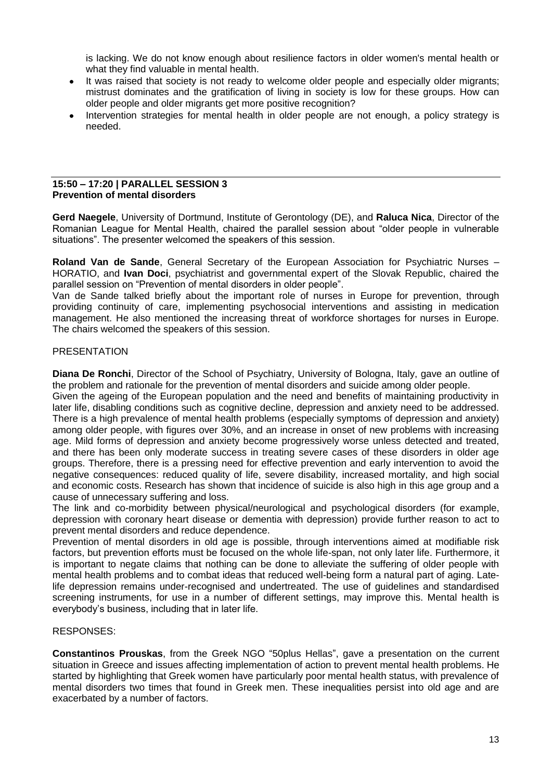is lacking. We do not know enough about resilience factors in older women's mental health or what they find valuable in mental health.

- It was raised that society is not ready to welcome older people and especially older migrants;  $\bullet$ mistrust dominates and the gratification of living in society is low for these groups. How can older people and older migrants get more positive recognition?
- Intervention strategies for mental health in older people are not enough, a policy strategy is needed.

#### **15:50 – 17:20 | PARALLEL SESSION 3 Prevention of mental disorders**

**Gerd Naegele**, University of Dortmund, Institute of Gerontology (DE), and **Raluca Nica**, Director of the Romanian League for Mental Health, chaired the parallel session about "older people in vulnerable situations". The presenter welcomed the speakers of this session.

**Roland Van de Sande**, General Secretary of the European Association for Psychiatric Nurses – HORATIO, and **Ivan Doci**, psychiatrist and governmental expert of the Slovak Republic, chaired the parallel session on "Prevention of mental disorders in older people".

Van de Sande talked briefly about the important role of nurses in Europe for prevention, through providing continuity of care, implementing psychosocial interventions and assisting in medication management. He also mentioned the increasing threat of workforce shortages for nurses in Europe. The chairs welcomed the speakers of this session.

### PRESENTATION

**Diana De Ronchi**, Director of the School of Psychiatry, University of Bologna, Italy, gave an outline of the problem and rationale for the prevention of mental disorders and suicide among older people.

Given the ageing of the European population and the need and benefits of maintaining productivity in later life, disabling conditions such as cognitive decline, depression and anxiety need to be addressed. There is a high prevalence of mental health problems (especially symptoms of depression and anxiety) among older people, with figures over 30%, and an increase in onset of new problems with increasing age. Mild forms of depression and anxiety become progressively worse unless detected and treated, and there has been only moderate success in treating severe cases of these disorders in older age groups. Therefore, there is a pressing need for effective prevention and early intervention to avoid the negative consequences: reduced quality of life, severe disability, increased mortality, and high social and economic costs. Research has shown that incidence of suicide is also high in this age group and a cause of unnecessary suffering and loss.

The link and co-morbidity between physical/neurological and psychological disorders (for example, depression with coronary heart disease or dementia with depression) provide further reason to act to prevent mental disorders and reduce dependence.

Prevention of mental disorders in old age is possible, through interventions aimed at modifiable risk factors, but prevention efforts must be focused on the whole life-span, not only later life. Furthermore, it is important to negate claims that nothing can be done to alleviate the suffering of older people with mental health problems and to combat ideas that reduced well-being form a natural part of aging. Latelife depression remains under-recognised and undertreated. The use of guidelines and standardised screening instruments, for use in a number of different settings, may improve this. Mental health is everybody"s business, including that in later life.

### RESPONSES:

**Constantinos Prouskas**, from the Greek NGO "50plus Hellas", gave a presentation on the current situation in Greece and issues affecting implementation of action to prevent mental health problems. He started by highlighting that Greek women have particularly poor mental health status, with prevalence of mental disorders two times that found in Greek men. These inequalities persist into old age and are exacerbated by a number of factors.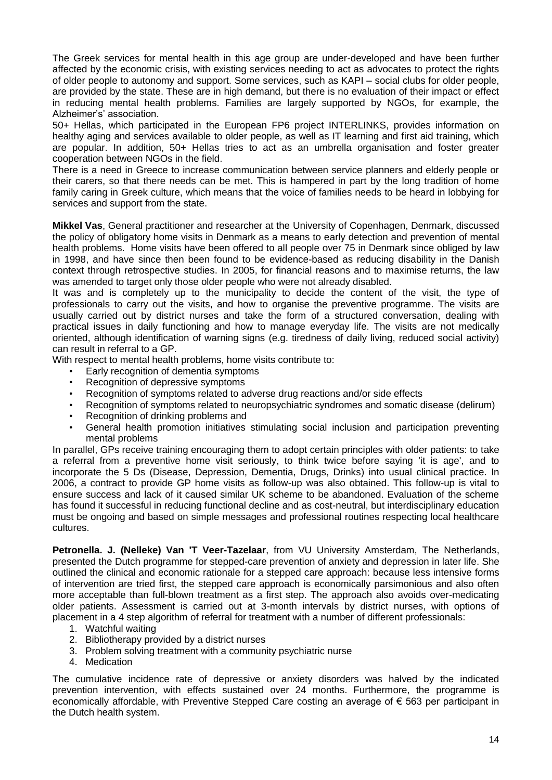The Greek services for mental health in this age group are under-developed and have been further affected by the economic crisis, with existing services needing to act as advocates to protect the rights of older people to autonomy and support. Some services, such as KAPI – social clubs for older people, are provided by the state. These are in high demand, but there is no evaluation of their impact or effect in reducing mental health problems. Families are largely supported by NGOs, for example, the Alzheimer's' association.

50+ Hellas, which participated in the European FP6 project INTERLINKS, provides information on healthy aging and services available to older people, as well as IT learning and first aid training, which are popular. In addition, 50+ Hellas tries to act as an umbrella organisation and foster greater cooperation between NGOs in the field.

There is a need in Greece to increase communication between service planners and elderly people or their carers, so that there needs can be met. This is hampered in part by the long tradition of home family caring in Greek culture, which means that the voice of families needs to be heard in lobbying for services and support from the state.

**Mikkel Vas**, General practitioner and researcher at the University of Copenhagen, Denmark, discussed the policy of obligatory home visits in Denmark as a means to early detection and prevention of mental health problems. Home visits have been offered to all people over 75 in Denmark since obliged by law in 1998, and have since then been found to be evidence-based as reducing disability in the Danish context through retrospective studies. In 2005, for financial reasons and to maximise returns, the law was amended to target only those older people who were not already disabled.

It was and is completely up to the municipality to decide the content of the visit, the type of professionals to carry out the visits, and how to organise the preventive programme. The visits are usually carried out by district nurses and take the form of a structured conversation, dealing with practical issues in daily functioning and how to manage everyday life. The visits are not medically oriented, although identification of warning signs (e.g. tiredness of daily living, reduced social activity) can result in referral to a GP.

With respect to mental health problems, home visits contribute to:

- Early recognition of dementia symptoms
- Recognition of depressive symptoms
- Recognition of symptoms related to adverse drug reactions and/or side effects
- Recognition of symptoms related to neuropsychiatric syndromes and somatic disease (delirum)
- Recognition of drinking problems and
- General health promotion initiatives stimulating social inclusion and participation preventing mental problems

In parallel, GPs receive training encouraging them to adopt certain principles with older patients: to take a referral from a preventive home visit seriously, to think twice before saying 'it is age', and to incorporate the 5 Ds (Disease, Depression, Dementia, Drugs, Drinks) into usual clinical practice. In 2006, a contract to provide GP home visits as follow-up was also obtained. This follow-up is vital to ensure success and lack of it caused similar UK scheme to be abandoned. Evaluation of the scheme has found it successful in reducing functional decline and as cost-neutral, but interdisciplinary education must be ongoing and based on simple messages and professional routines respecting local healthcare cultures.

**Petronella. J. (Nelleke) Van 'T Veer-Tazelaar**, from VU University Amsterdam, The Netherlands, presented the Dutch programme for stepped-care prevention of anxiety and depression in later life. She outlined the clinical and economic rationale for a stepped care approach: because less intensive forms of intervention are tried first, the stepped care approach is economically parsimonious and also often more acceptable than full-blown treatment as a first step. The approach also avoids over-medicating older patients. Assessment is carried out at 3-month intervals by district nurses, with options of placement in a 4 step algorithm of referral for treatment with a number of different professionals:

- 1. Watchful waiting
- 2. Bibliotherapy provided by a district nurses
- 3. Problem solving treatment with a community psychiatric nurse
- 4. Medication

The cumulative incidence rate of depressive or anxiety disorders was halved by the indicated prevention intervention, with effects sustained over 24 months. Furthermore, the programme is economically affordable, with Preventive Stepped Care costing an average of € 563 per participant in the Dutch health system.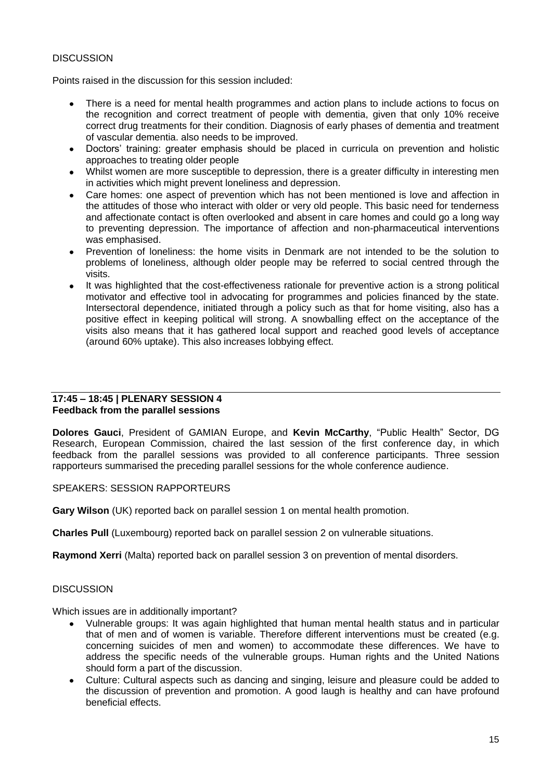### **DISCUSSION**

Points raised in the discussion for this session included:

- There is a need for mental health programmes and action plans to include actions to focus on the recognition and correct treatment of people with dementia, given that only 10% receive correct drug treatments for their condition. Diagnosis of early phases of dementia and treatment of vascular dementia. also needs to be improved.
- $\bullet$ Doctors' training: greater emphasis should be placed in curricula on prevention and holistic approaches to treating older people
- Whilst women are more susceptible to depression, there is a greater difficulty in interesting men  $\bullet$ in activities which might prevent loneliness and depression.
- Care homes: one aspect of prevention which has not been mentioned is love and affection in the attitudes of those who interact with older or very old people. This basic need for tenderness and affectionate contact is often overlooked and absent in care homes and could go a long way to preventing depression. The importance of affection and non-pharmaceutical interventions was emphasised.
- Prevention of loneliness: the home visits in Denmark are not intended to be the solution to  $\bullet$ problems of loneliness, although older people may be referred to social centred through the visits.
- $\bullet$  . It was highlighted that the cost-effectiveness rationale for preventive action is a strong political motivator and effective tool in advocating for programmes and policies financed by the state. Intersectoral dependence, initiated through a policy such as that for home visiting, also has a positive effect in keeping political will strong. A snowballing effect on the acceptance of the visits also means that it has gathered local support and reached good levels of acceptance (around 60% uptake). This also increases lobbying effect.

#### **17:45 – 18:45 | PLENARY SESSION 4 Feedback from the parallel sessions**

**Dolores Gauci**, President of GAMIAN Europe, and **Kevin McCarthy**, "Public Health" Sector, DG Research, European Commission, chaired the last session of the first conference day, in which feedback from the parallel sessions was provided to all conference participants. Three session rapporteurs summarised the preceding parallel sessions for the whole conference audience.

#### SPEAKERS: SESSION RAPPORTEURS

**Gary Wilson** (UK) reported back on parallel session 1 on mental health promotion.

**Charles Pull** (Luxembourg) reported back on parallel session 2 on vulnerable situations.

**Raymond Xerri** (Malta) reported back on parallel session 3 on prevention of mental disorders.

### **DISCUSSION**

Which issues are in additionally important?

- Vulnerable groups: It was again highlighted that human mental health status and in particular that of men and of women is variable. Therefore different interventions must be created (e.g. concerning suicides of men and women) to accommodate these differences. We have to address the specific needs of the vulnerable groups. Human rights and the United Nations should form a part of the discussion.
- Culture: Cultural aspects such as dancing and singing, leisure and pleasure could be added to  $\bullet$ the discussion of prevention and promotion. A good laugh is healthy and can have profound beneficial effects.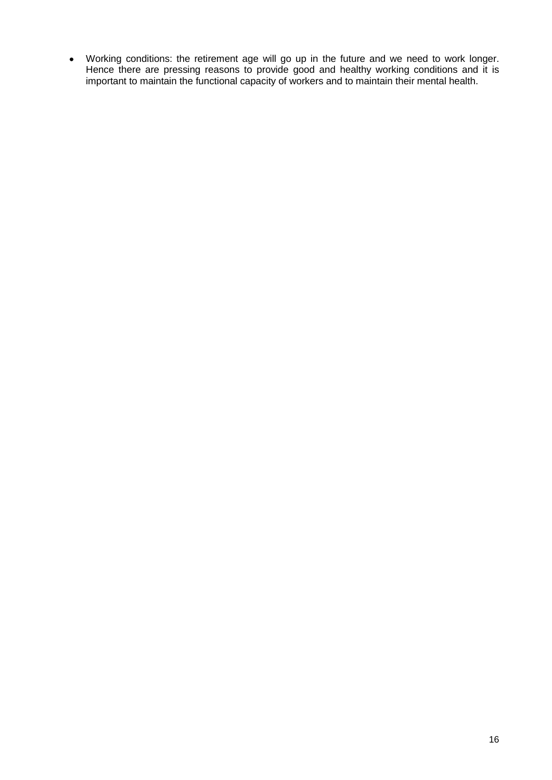Working conditions: the retirement age will go up in the future and we need to work longer. Hence there are pressing reasons to provide good and healthy working conditions and it is important to maintain the functional capacity of workers and to maintain their mental health.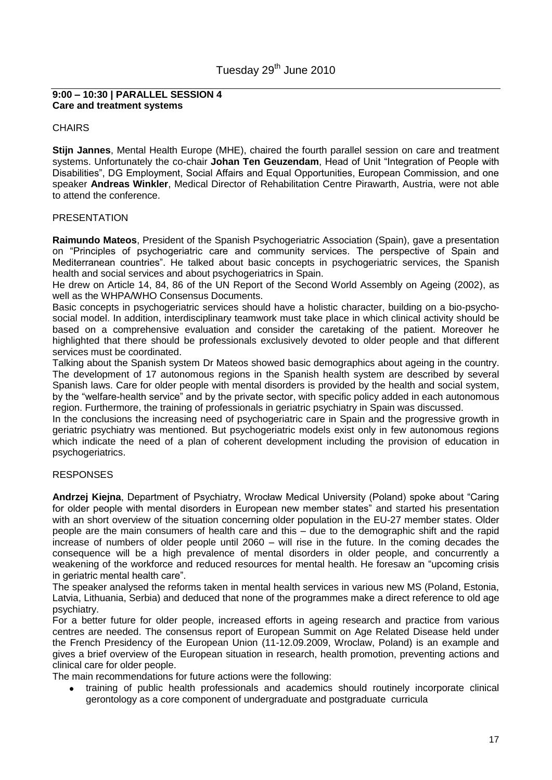#### **9:00 – 10:30 | PARALLEL SESSION 4 Care and treatment systems**

#### **CHAIRS**

**Stijn Jannes**, Mental Health Europe (MHE), chaired the fourth parallel session on care and treatment systems. Unfortunately the co-chair **Johan Ten Geuzendam**, Head of Unit "Integration of People with Disabilities", DG Employment, Social Affairs and Equal Opportunities, European Commission, and one speaker **Andreas Winkler**, Medical Director of Rehabilitation Centre Pirawarth, Austria, were not able to attend the conference.

#### PRESENTATION

**Raimundo Mateos**, President of the Spanish Psychogeriatric Association (Spain), gave a presentation on "Principles of psychogeriatric care and community services. The perspective of Spain and Mediterranean countries". He talked about basic concepts in psychogeriatric services, the Spanish health and social services and about psychogeriatrics in Spain.

He drew on Article 14, 84, 86 of the UN Report of the Second World Assembly on Ageing (2002), as well as the WHPA/WHO Consensus Documents.

Basic concepts in psychogeriatric services should have a holistic character, building on a bio-psychosocial model. In addition, interdisciplinary teamwork must take place in which clinical activity should be based on a comprehensive evaluation and consider the caretaking of the patient. Moreover he highlighted that there should be professionals exclusively devoted to older people and that different services must be coordinated.

Talking about the Spanish system Dr Mateos showed basic demographics about ageing in the country. The development of 17 autonomous regions in the Spanish health system are described by several Spanish laws. Care for older people with mental disorders is provided by the health and social system, by the "welfare-health service" and by the private sector, with specific policy added in each autonomous region. Furthermore, the training of professionals in geriatric psychiatry in Spain was discussed.

In the conclusions the increasing need of psychogeriatric care in Spain and the progressive growth in geriatric psychiatry was mentioned. But psychogeriatric models exist only in few autonomous regions which indicate the need of a plan of coherent development including the provision of education in psychogeriatrics.

### RESPONSES

**Andrzej Kiejna**, Department of Psychiatry, Wrocław Medical University (Poland) spoke about "Caring for older people with mental disorders in European new member states" and started his presentation with an short overview of the situation concerning older population in the EU-27 member states. Older people are the main consumers of health care and this – due to the demographic shift and the rapid increase of numbers of older people until 2060 – will rise in the future. In the coming decades the consequence will be a high prevalence of mental disorders in older people, and concurrently a weakening of the workforce and reduced resources for mental health. He foresaw an "upcoming crisis in geriatric mental health care".

The speaker analysed the reforms taken in mental health services in various new MS (Poland, Estonia, Latvia, Lithuania, Serbia) and deduced that none of the programmes make a direct reference to old age psychiatry.

For a better future for older people, increased efforts in ageing research and practice from various centres are needed. The consensus report of European Summit on Age Related Disease held under the French Presidency of the European Union (11-12.09.2009, Wroclaw, Poland) is an example and gives a brief overview of the European situation in research, health promotion, preventing actions and clinical care for older people.

The main recommendations for future actions were the following:

training of public health professionals and academics should routinely incorporate clinical gerontology as a core component of undergraduate and postgraduate curricula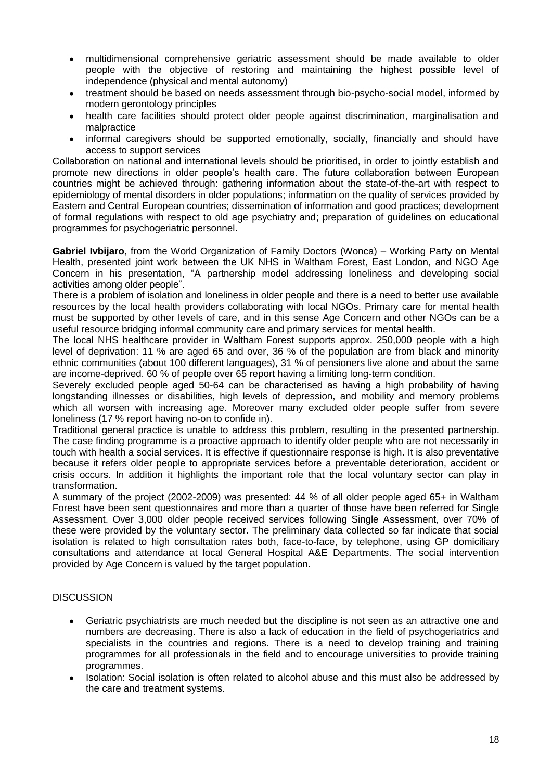- multidimensional comprehensive geriatric assessment should be made available to older  $\bullet$ people with the objective of restoring and maintaining the highest possible level of independence (physical and mental autonomy)
- treatment should be based on needs assessment through bio-psycho-social model, informed by modern gerontology principles
- health care facilities should protect older people against discrimination, marginalisation and  $\bullet$ malpractice
- informal caregivers should be supported emotionally, socially, financially and should have access to support services

Collaboration on national and international levels should be prioritised, in order to jointly establish and promote new directions in older people"s health care. The future collaboration between European countries might be achieved through: gathering information about the state-of-the-art with respect to epidemiology of mental disorders in older populations; information on the quality of services provided by Eastern and Central European countries; dissemination of information and good practices; development of formal regulations with respect to old age psychiatry and; preparation of guidelines on educational programmes for psychogeriatric personnel.

**Gabriel Ivbijaro**, from the World Organization of Family Doctors (Wonca) – Working Party on Mental Health, presented joint work between the UK NHS in Waltham Forest, East London, and NGO Age Concern in his presentation, "A partnership model addressing loneliness and developing social activities among older people".

There is a problem of isolation and loneliness in older people and there is a need to better use available resources by the local health providers collaborating with local NGOs. Primary care for mental health must be supported by other levels of care, and in this sense Age Concern and other NGOs can be a useful resource bridging informal community care and primary services for mental health.

The local NHS healthcare provider in Waltham Forest supports approx. 250,000 people with a high level of deprivation: 11 % are aged 65 and over, 36 % of the population are from black and minority ethnic communities (about 100 different languages), 31 % of pensioners live alone and about the same are income-deprived. 60 % of people over 65 report having a limiting long-term condition.

Severely excluded people aged 50-64 can be characterised as having a high probability of having longstanding illnesses or disabilities, high levels of depression, and mobility and memory problems which all worsen with increasing age. Moreover many excluded older people suffer from severe loneliness (17 % report having no-on to confide in).

Traditional general practice is unable to address this problem, resulting in the presented partnership. The case finding programme is a proactive approach to identify older people who are not necessarily in touch with health a social services. It is effective if questionnaire response is high. It is also preventative because it refers older people to appropriate services before a preventable deterioration, accident or crisis occurs. In addition it highlights the important role that the local voluntary sector can play in transformation.

A summary of the project (2002-2009) was presented: 44 % of all older people aged 65+ in Waltham Forest have been sent questionnaires and more than a quarter of those have been referred for Single Assessment. Over 3,000 older people received services following Single Assessment, over 70% of these were provided by the voluntary sector. The preliminary data collected so far indicate that social isolation is related to high consultation rates both, face-to-face, by telephone, using GP domiciliary consultations and attendance at local General Hospital A&E Departments. The social intervention provided by Age Concern is valued by the target population.

### **DISCUSSION**

- Geriatric psychiatrists are much needed but the discipline is not seen as an attractive one and numbers are decreasing. There is also a lack of education in the field of psychogeriatrics and specialists in the countries and regions. There is a need to develop training and training programmes for all professionals in the field and to encourage universities to provide training programmes.
- Isolation: Social isolation is often related to alcohol abuse and this must also be addressed by  $\bullet$ the care and treatment systems.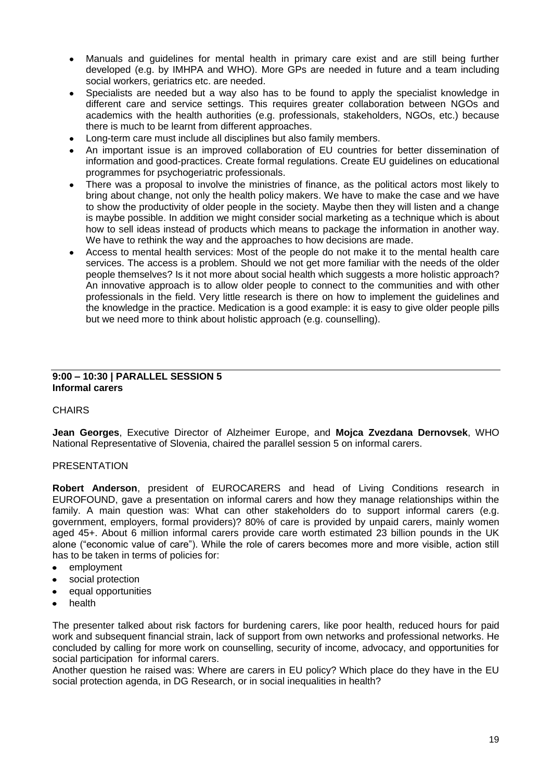- Manuals and guidelines for mental health in primary care exist and are still being further  $\bullet$ developed (e.g. by IMHPA and WHO). More GPs are needed in future and a team including social workers, geriatrics etc. are needed.
- Specialists are needed but a way also has to be found to apply the specialist knowledge in different care and service settings. This requires greater collaboration between NGOs and academics with the health authorities (e.g. professionals, stakeholders, NGOs, etc.) because there is much to be learnt from different approaches.
- Long-term care must include all disciplines but also family members.  $\bullet$
- An important issue is an improved collaboration of EU countries for better dissemination of information and good-practices. Create formal regulations. Create EU guidelines on educational programmes for psychogeriatric professionals.
- There was a proposal to involve the ministries of finance, as the political actors most likely to bring about change, not only the health policy makers. We have to make the case and we have to show the productivity of older people in the society. Maybe then they will listen and a change is maybe possible. In addition we might consider social marketing as a technique which is about how to sell ideas instead of products which means to package the information in another way. We have to rethink the way and the approaches to how decisions are made.
- Access to mental health services: Most of the people do not make it to the mental health care services. The access is a problem. Should we not get more familiar with the needs of the older people themselves? Is it not more about social health which suggests a more holistic approach? An innovative approach is to allow older people to connect to the communities and with other professionals in the field. Very little research is there on how to implement the guidelines and the knowledge in the practice. Medication is a good example: it is easy to give older people pills but we need more to think about holistic approach (e.g. counselling).

#### **9:00 – 10:30 | PARALLEL SESSION 5 Informal carers**

### **CHAIRS**

**Jean Georges**, Executive Director of Alzheimer Europe, and **Mojca Zvezdana Dernovsek**, WHO National Representative of Slovenia, chaired the parallel session 5 on informal carers.

### PRESENTATION

**Robert Anderson**, president of EUROCARERS and head of Living Conditions research in EUROFOUND, gave a presentation on informal carers and how they manage relationships within the family. A main question was: What can other stakeholders do to support informal carers (e.g. government, employers, formal providers)? 80% of care is provided by unpaid carers, mainly women aged 45+. About 6 million informal carers provide care worth estimated 23 billion pounds in the UK alone ("economic value of care"). While the role of carers becomes more and more visible, action still has to be taken in terms of policies for:

- $\bullet$ employment
- social protection
- equal opportunities
- health

The presenter talked about risk factors for burdening carers, like poor health, reduced hours for paid work and subsequent financial strain, lack of support from own networks and professional networks. He concluded by calling for more work on counselling, security of income, advocacy, and opportunities for social participation for informal carers.

Another question he raised was: Where are carers in EU policy? Which place do they have in the EU social protection agenda, in DG Research, or in social inequalities in health?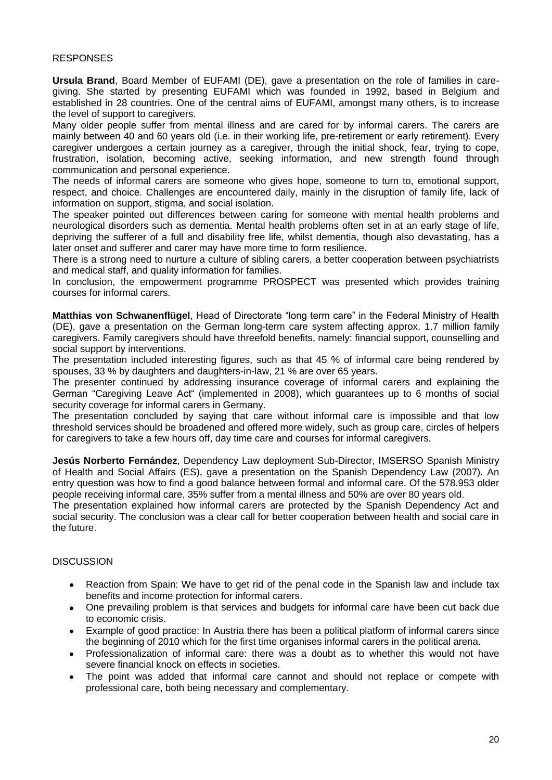#### **RESPONSES**

**Ursula Brand**, Board Member of EUFAMI (DE), gave a presentation on the role of families in caregiving. She started by presenting EUFAMI which was founded in 1992, based in Belgium and established in 28 countries. One of the central aims of EUFAMI, amongst many others, is to increase the level of support to caregivers.

Many older people suffer from mental illness and are cared for by informal carers. The carers are mainly between 40 and 60 years old (i.e. in their working life, pre-retirement or early retirement). Every caregiver undergoes a certain journey as a caregiver, through the initial shock, fear, trying to cope, frustration, isolation, becoming active, seeking information, and new strength found through communication and personal experience.

The needs of informal carers are someone who gives hope, someone to turn to, emotional support, respect, and choice. Challenges are encountered daily, mainly in the disruption of family life, lack of information on support, stigma, and social isolation.

The speaker pointed out differences between caring for someone with mental health problems and neurological disorders such as dementia. Mental health problems often set in at an early stage of life, depriving the sufferer of a full and disability free life, whilst dementia, though also devastating, has a later onset and sufferer and carer may have more time to form resilience.

There is a strong need to nurture a culture of sibling carers, a better cooperation between psychiatrists and medical staff, and quality information for families.

In conclusion, the empowerment programme PROSPECT was presented which provides training courses for informal carers.

**Matthias von Schwanenflügel**, Head of Directorate "long term care" in the Federal Ministry of Health (DE), gave a presentation on the German long-term care system affecting approx. 1.7 million family caregivers. Family caregivers should have threefold benefits, namely: financial support, counselling and social support by interventions.

The presentation included interesting figures, such as that 45 % of informal care being rendered by spouses, 33 % by daughters and daughters-in-law, 21 % are over 65 years.

The presenter continued by addressing insurance coverage of informal carers and explaining the German "Caregiving Leave Act" (implemented in 2008), which guarantees up to 6 months of social security coverage for informal carers in Germany.

The presentation concluded by saying that care without informal care is impossible and that low threshold services should be broadened and offered more widely, such as group care, circles of helpers for caregivers to take a few hours off, day time care and courses for informal caregivers.

**Jesús Norberto Fernández**, Dependency Law deployment Sub-Director, IMSERSO Spanish Ministry of Health and Social Affairs (ES), gave a presentation on the Spanish Dependency Law (2007). An entry question was how to find a good balance between formal and informal care. Of the 578.953 older people receiving informal care, 35% suffer from a mental illness and 50% are over 80 years old.

The presentation explained how informal carers are protected by the Spanish Dependency Act and social security. The conclusion was a clear call for better cooperation between health and social care in the future.

### **DISCUSSION**

- Reaction from Spain: We have to get rid of the penal code in the Spanish law and include tax  $\bullet$ benefits and income protection for informal carers.
- $\bullet$ One prevailing problem is that services and budgets for informal care have been cut back due to economic crisis.
- Example of good practice: In Austria there has been a political platform of informal carers since  $\bullet$ the beginning of 2010 which for the first time organises informal carers in the political arena.
- Professionalization of informal care: there was a doubt as to whether this would not have  $\bullet$ severe financial knock on effects in societies.
- The point was added that informal care cannot and should not replace or compete with  $\bullet$ professional care, both being necessary and complementary.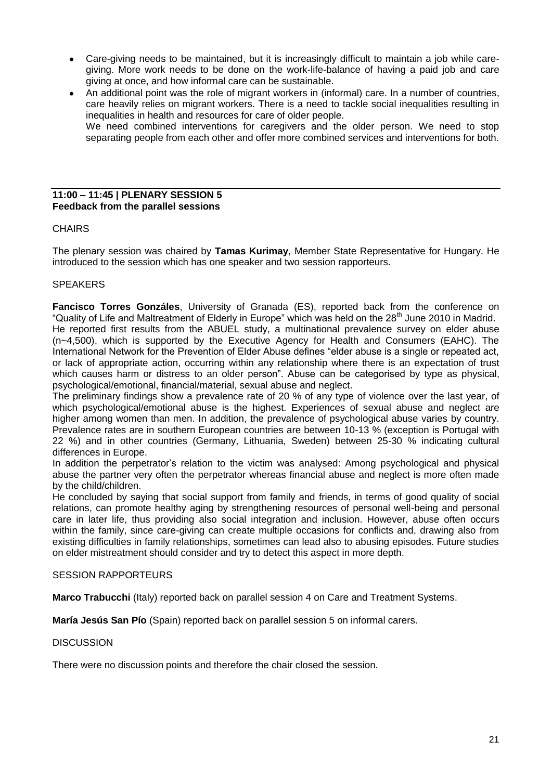- Care-giving needs to be maintained, but it is increasingly difficult to maintain a job while care- $\bullet$ giving. More work needs to be done on the work-life-balance of having a paid job and care giving at once, and how informal care can be sustainable.
- An additional point was the role of migrant workers in (informal) care. In a number of countries, care heavily relies on migrant workers. There is a need to tackle social inequalities resulting in inequalities in health and resources for care of older people. We need combined interventions for caregivers and the older person. We need to stop separating people from each other and offer more combined services and interventions for both.

#### **11:00 – 11:45 | PLENARY SESSION 5 Feedback from the parallel sessions**

### **CHAIRS**

The plenary session was chaired by **Tamas Kurimay**, Member State Representative for Hungary. He introduced to the session which has one speaker and two session rapporteurs.

#### **SPEAKERS**

**Fancisco Torres Gonzáles**, University of Granada (ES), reported back from the conference on "Quality of Life and Maltreatment of Elderly in Europe" which was held on the 28<sup>th</sup> June 2010 in Madrid. He reported first results from the ABUEL study, a multinational prevalence survey on elder abuse (n~4,500), which is supported by the Executive Agency for Health and Consumers (EAHC). The International Network for the Prevention of Elder Abuse defines "elder abuse is a single or repeated act, or lack of appropriate action, occurring within any relationship where there is an expectation of trust which causes harm or distress to an older person". Abuse can be categorised by type as physical, psychological/emotional, financial/material, sexual abuse and neglect.

The preliminary findings show a prevalence rate of 20 % of any type of violence over the last year, of which psychological/emotional abuse is the highest. Experiences of sexual abuse and neglect are higher among women than men. In addition, the prevalence of psychological abuse varies by country. Prevalence rates are in southern European countries are between 10-13 % (exception is Portugal with 22 %) and in other countries (Germany, Lithuania, Sweden) between 25-30 % indicating cultural differences in Europe.

In addition the perpetrator"s relation to the victim was analysed: Among psychological and physical abuse the partner very often the perpetrator whereas financial abuse and neglect is more often made by the child/children.

He concluded by saying that social support from family and friends, in terms of good quality of social relations, can promote healthy aging by strengthening resources of personal well-being and personal care in later life, thus providing also social integration and inclusion. However, abuse often occurs within the family, since care-giving can create multiple occasions for conflicts and, drawing also from existing difficulties in family relationships, sometimes can lead also to abusing episodes. Future studies on elder mistreatment should consider and try to detect this aspect in more depth.

#### SESSION RAPPORTEURS

**Marco Trabucchi** (Italy) reported back on parallel session 4 on Care and Treatment Systems.

**María Jesús San Pío** (Spain) reported back on parallel session 5 on informal carers.

#### **DISCUSSION**

There were no discussion points and therefore the chair closed the session.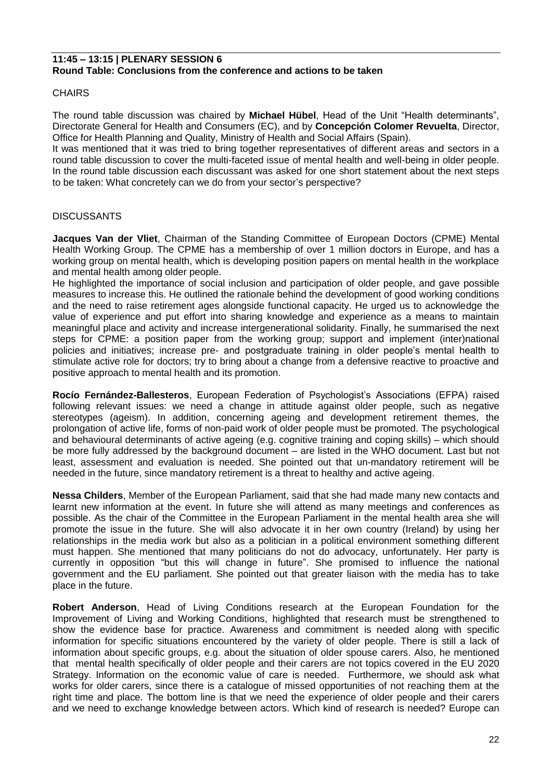#### **11:45 – 13:15 | PLENARY SESSION 6 Round Table: Conclusions from the conference and actions to be taken**

#### **CHAIRS**

The round table discussion was chaired by **Michael Hübel**, Head of the Unit "Health determinants", Directorate General for Health and Consumers (EC), and by **Concepción Colomer Revuelta**, Director, Office for Health Planning and Quality, Ministry of Health and Social Affairs (Spain).

It was mentioned that it was tried to bring together representatives of different areas and sectors in a round table discussion to cover the multi-faceted issue of mental health and well-being in older people. In the round table discussion each discussant was asked for one short statement about the next steps to be taken: What concretely can we do from your sector's perspective?

### **DISCUSSANTS**

**Jacques Van der Vliet**, Chairman of the Standing Committee of European Doctors (CPME) Mental Health Working Group. The CPME has a membership of over 1 million doctors in Europe, and has a working group on mental health, which is developing position papers on mental health in the workplace and mental health among older people.

He highlighted the importance of social inclusion and participation of older people, and gave possible measures to increase this. He outlined the rationale behind the development of good working conditions and the need to raise retirement ages alongside functional capacity. He urged us to acknowledge the value of experience and put effort into sharing knowledge and experience as a means to maintain meaningful place and activity and increase intergenerational solidarity. Finally, he summarised the next steps for CPME: a position paper from the working group; support and implement (inter)national policies and initiatives; increase pre- and postgraduate training in older people"s mental health to stimulate active role for doctors; try to bring about a change from a defensive reactive to proactive and positive approach to mental health and its promotion.

**Rocío Fernández-Ballesteros**, European Federation of Psychologist"s Associations (EFPA) raised following relevant issues: we need a change in attitude against older people, such as negative stereotypes (ageism). In addition, concerning ageing and development retirement themes, the prolongation of active life, forms of non-paid work of older people must be promoted. The psychological and behavioural determinants of active ageing (e.g. cognitive training and coping skills) – which should be more fully addressed by the background document – are listed in the WHO document. Last but not least, assessment and evaluation is needed. She pointed out that un-mandatory retirement will be needed in the future, since mandatory retirement is a threat to healthy and active ageing.

**Nessa Childers**, Member of the European Parliament, said that she had made many new contacts and learnt new information at the event. In future she will attend as many meetings and conferences as possible. As the chair of the Committee in the European Parliament in the mental health area she will promote the issue in the future. She will also advocate it in her own country (Ireland) by using her relationships in the media work but also as a politician in a political environment something different must happen. She mentioned that many politicians do not do advocacy, unfortunately. Her party is currently in opposition "but this will change in future". She promised to influence the national government and the EU parliament. She pointed out that greater liaison with the media has to take place in the future.

**Robert Anderson**, Head of Living Conditions research at the European Foundation for the Improvement of Living and Working Conditions, highlighted that research must be strengthened to show the evidence base for practice. Awareness and commitment is needed along with specific information for specific situations encountered by the variety of older people. There is still a lack of information about specific groups, e.g. about the situation of older spouse carers. Also, he mentioned that mental health specifically of older people and their carers are not topics covered in the EU 2020 Strategy. Information on the economic value of care is needed. Furthermore, we should ask what works for older carers, since there is a catalogue of missed opportunities of not reaching them at the right time and place. The bottom line is that we need the experience of older people and their carers and we need to exchange knowledge between actors. Which kind of research is needed? Europe can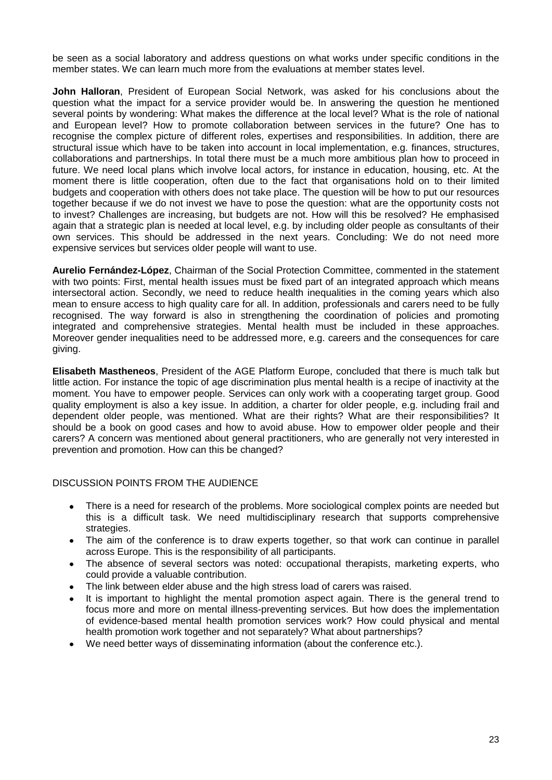be seen as a social laboratory and address questions on what works under specific conditions in the member states. We can learn much more from the evaluations at member states level.

**John Halloran**, President of European Social Network, was asked for his conclusions about the question what the impact for a service provider would be. In answering the question he mentioned several points by wondering: What makes the difference at the local level? What is the role of national and European level? How to promote collaboration between services in the future? One has to recognise the complex picture of different roles, expertises and responsibilities. In addition, there are structural issue which have to be taken into account in local implementation, e.g. finances, structures, collaborations and partnerships. In total there must be a much more ambitious plan how to proceed in future. We need local plans which involve local actors, for instance in education, housing, etc. At the moment there is little cooperation, often due to the fact that organisations hold on to their limited budgets and cooperation with others does not take place. The question will be how to put our resources together because if we do not invest we have to pose the question: what are the opportunity costs not to invest? Challenges are increasing, but budgets are not. How will this be resolved? He emphasised again that a strategic plan is needed at local level, e.g. by including older people as consultants of their own services. This should be addressed in the next years. Concluding: We do not need more expensive services but services older people will want to use.

**Aurelio Fernández-López**, Chairman of the Social Protection Committee, commented in the statement with two points: First, mental health issues must be fixed part of an integrated approach which means intersectoral action. Secondly, we need to reduce health inequalities in the coming years which also mean to ensure access to high quality care for all. In addition, professionals and carers need to be fully recognised. The way forward is also in strengthening the coordination of policies and promoting integrated and comprehensive strategies. Mental health must be included in these approaches. Moreover gender inequalities need to be addressed more, e.g. careers and the consequences for care giving.

**Elisabeth Mastheneos**, President of the AGE Platform Europe, concluded that there is much talk but little action. For instance the topic of age discrimination plus mental health is a recipe of inactivity at the moment. You have to empower people. Services can only work with a cooperating target group. Good quality employment is also a key issue. In addition, a charter for older people, e.g. including frail and dependent older people, was mentioned. What are their rights? What are their responsibilities? It should be a book on good cases and how to avoid abuse. How to empower older people and their carers? A concern was mentioned about general practitioners, who are generally not very interested in prevention and promotion. How can this be changed?

#### DISCUSSION POINTS FROM THE AUDIENCE

- There is a need for research of the problems. More sociological complex points are needed but  $\bullet$ this is a difficult task. We need multidisciplinary research that supports comprehensive strategies.
- The aim of the conference is to draw experts together, so that work can continue in parallel  $\bullet$ across Europe. This is the responsibility of all participants.
- The absence of several sectors was noted: occupational therapists, marketing experts, who  $\bullet$ could provide a valuable contribution.
- The link between elder abuse and the high stress load of carers was raised.  $\bullet$
- It is important to highlight the mental promotion aspect again. There is the general trend to focus more and more on mental illness-preventing services. But how does the implementation of evidence-based mental health promotion services work? How could physical and mental health promotion work together and not separately? What about partnerships?
- We need better ways of disseminating information (about the conference etc.).